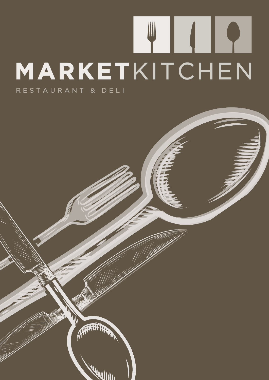## MARKETKITCHEN RESTAURANT & DELI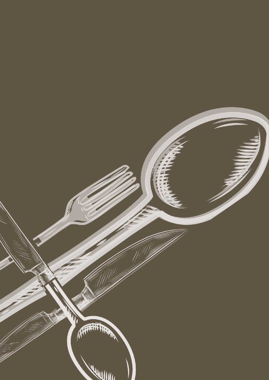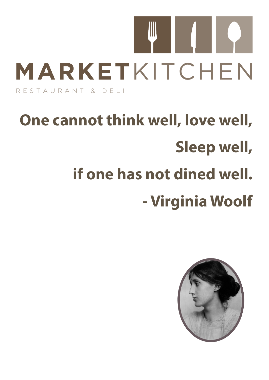# MARKETKITCHEN RESTAURANT & DELI

### **One cannot think well, love well, Sleep well, if one has not dined well. - Virginia Woolf**

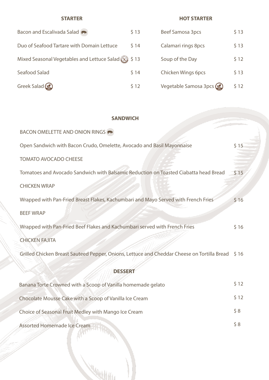#### **STARTER**

| Bacon and Escalivada Salad                           | \$13 |
|------------------------------------------------------|------|
| Duo of Seafood Tartare with Domain Lettuce           | \$14 |
| Mixed Seasonal Vegetables and Lettuce Salad (3) \$13 |      |
| Seafood Salad                                        | \$14 |
| Greek Salad                                          | S 12 |

#### **HOT STARTER**

| Beef Samosa 3pcs           | \$13 |
|----------------------------|------|
| <b>Calamari rings 8pcs</b> | \$13 |
| Soup of the Day            | \$12 |
| Chicken Wings 6pcs         | \$13 |
| Vegetable Samosa 3pcs      | S 12 |

#### **SANDWICH**

| BACON OMELETTE AND ONION RINGS                                                                   |      |
|--------------------------------------------------------------------------------------------------|------|
| Open Sandwich with Bacon Crudo, Omelette, Avocado and Basil Mayonnaise                           | \$15 |
| <b>TOMATO AVOCADO CHEESE</b>                                                                     |      |
| Tomatoes and Avocado Sandwich with Balsamic Reduction on Toasted Ciabatta head Bread             | \$15 |
| <b>CHICKEN WRAP</b>                                                                              |      |
| Wrapped with Pan-Fried Breast Flakes, Kachumbari and Mayo Served with French Fries               | \$16 |
| <b>BEEF WRAP</b>                                                                                 |      |
| Wrapped with Pan-Fried Beef Flakes and Kachumbari served with French Fries                       | \$16 |
| <b>CHICKEN FAJITA</b>                                                                            |      |
| Grilled Chicken Breast Sauteed Pepper, Onions, Lettuce and Cheddar Cheese on Tortilla Bread \$16 |      |
| <b>DESSERT</b>                                                                                   |      |
| Banana Torte Crowned with a Scoop of Vanilla homemade gelato                                     | \$12 |
| Chocolate Mousse Cake with a Scoop of Vanilla Ice Cream                                          | \$12 |
| Choice of Seasonal Fruit Medley with Mango Ice Cream                                             | \$8  |
| Assorted Homemade Ice Cream                                                                      | \$8  |

**KAMAN**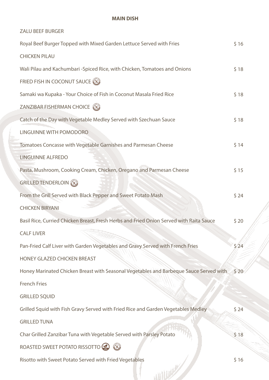#### **MAIN DISH**

| <b>ZALU BEEF BURGER</b>                                                                 |      |
|-----------------------------------------------------------------------------------------|------|
| Royal Beef Burger Topped with Mixed Garden Lettuce Served with Fries                    | \$16 |
| <b>CHICKEN PILAU</b>                                                                    |      |
| Wali Pilau and Kachumbari - Spiced Rice, with Chicken, Tomatoes and Onions              | \$18 |
| <b>FRIED FISH IN COCONUT SAUCE</b>                                                      |      |
| Samaki wa Kupaka - Your Choice of Fish in Coconut Masala Fried Rice                     | \$18 |
| ZANZIBAR FISHERMAN CHOICE (S)                                                           |      |
| Catch of the Day with Vegetable Medley Served with Szechuan Sauce                       | \$18 |
| LINGUINNE WITH POMODORO                                                                 |      |
| Tomatoes Concasse with Vegetable Garnishes and Parmesan Cheese                          | \$14 |
| <b>LINGUINNE ALFREDO</b>                                                                |      |
| Pasta, Mushroom, Cooking Cream, Chicken, Oregano and Parmesan Cheese                    | \$15 |
| <b>GRILLED TENDERLOIN</b>                                                               |      |
| From the Grill Served with Black Pepper and Sweet Potato Mash                           | \$24 |
| <b>CHICKEN BIRYANI</b>                                                                  |      |
| Basil Rice, Curried Chicken Breast, Fresh Herbs and Fried Onion Served with Raita Sauce | \$20 |
| <b>CALF LIVER</b>                                                                       |      |
| Pan-Fried Calf Liver with Garden Vegetables and Gravy Served with French Fries          | \$24 |
| HONEY GLAZED CHICKEN BREAST                                                             |      |
| Honey Marinated Chicken Breast with Seasonal Vegetables and Barbeque Sauce Served with  | \$20 |
| <b>French Fries</b>                                                                     |      |
| <b>GRILLED SQUID</b>                                                                    |      |
| Grilled Squid with Fish Gravy Served with Fried Rice and Garden Vegetables Medley       | \$24 |
| <b>GRILLED TUNA</b>                                                                     |      |
| Char Grilled Zanzibar Tuna with Vegetable Served with Parsley Potato                    | \$18 |
| ROASTED SWEET POTATO RISSOTTO                                                           |      |
| Risotto with Sweet Potato Served with Fried Vegetables                                  | \$16 |

the Company of the Company of the Company of the Company of the Company of the Company of the Company of the C<br>Separate Separate Separate Separate Separate Separate Separate Separate Separate Separate Separate Separate S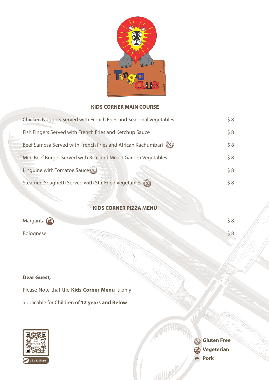

#### **KIDS CORNER MAIN COURSE**

| Chicken Nuggets Served with French Fries and Seasonal Vegetables | \$8 |
|------------------------------------------------------------------|-----|
| Fish Fingers Served with French Fries and Ketchup Sauce          | \$8 |
| Beef Samosa Served with French Fries and African Kachumbari (S)  | \$8 |
| Mini Beef Burger Served with Rice and Mixed Garden Vegetables    | \$8 |
| Linguine with Tomatoe Sauce                                      | \$8 |
| Steamed Spaghetti Served with Stir-Fried Vegetables              | \$8 |

#### **KIDS CORNER PIZZA MENU**



\$ 8

\$ 8

Bolognese

**Dear Guest,**

Please Note that the **Kids Corner Menu** is only

applicable for Children of **12 years and Below**





WWW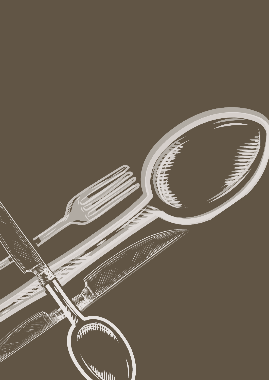